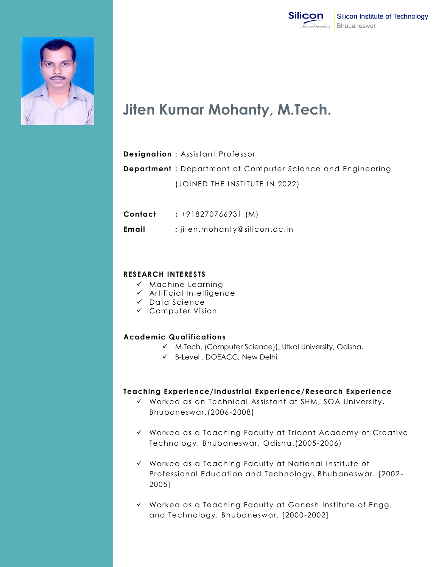



# **Jiten Kumar Mohanty, M.Tech.**

#### **Designation :** Assistant Professor

**Department :** Department of Computer Science and Engineering (JOINED THE INSTITUTE IN 2022)

**Contact :** +918270766931 (M)

 **Email :** jiten.mohanty@silicon.ac.in

### **RESEARCH INTERESTS**

- $\checkmark$  Machine Learning
- $\checkmark$  Artificial Intelligence
- $\checkmark$  Data Science
- Computer Vision

### **Academic Qualifications**

- M.Tech. (Computer Science)), Utkal University, Odisha.
- B-Level . DOEACC, New Delhi

### **Teaching Experience/Industrial Experience/Research Experience**

- Worked as an Technical Assistant at SHM, SOA University. Bhubaneswar.(2006-2008)
- $\checkmark$  Worked as a Teaching Faculty at Trident Academy of Creative Technology, Bhubaneswar, Odisha.(2005-2006)
- $\checkmark$  Worked as a Teaching Faculty at National Institute of Professional Education and Technology, Bhubaneswar. [2002 - 2005]
- $\checkmark$  Worked as a Teaching Faculty at Ganesh Institute of Engg. and Technology, Bhubaneswar. [2000-2002]